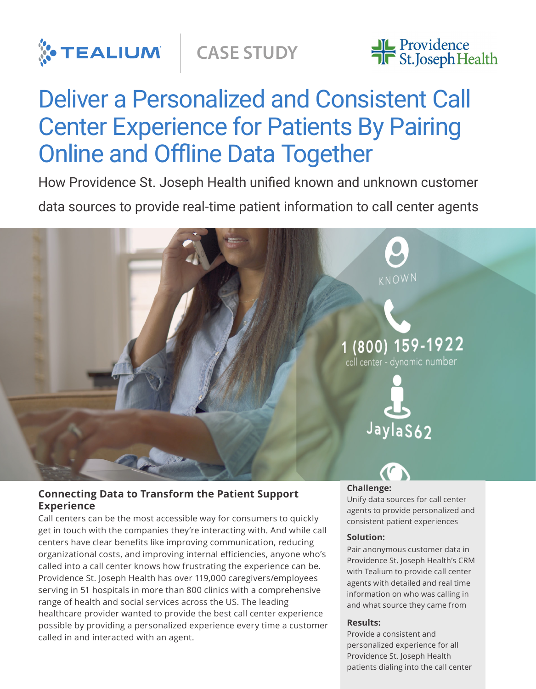



# Deliver a Personalized and Consistent Call Center Experience for Patients By Pairing Online and Offline Data Together

How Providence St. Joseph Health unified known and unknown customer

data sources to provide real-time patient information to call center agents



## **Connecting Data to Transform the Patient Support Experience**

Call centers can be the most accessible way for consumers to quickly get in touch with the companies they're interacting with. And while call centers have clear benefits like improving communication, reducing organizational costs, and improving internal efficiencies, anyone who's called into a call center knows how frustrating the experience can be. Providence St. Joseph Health has over 119,000 caregivers/employees serving in 51 hospitals in more than 800 clinics with a comprehensive range of health and social services across the US. The leading healthcare provider wanted to provide the best call center experience possible by providing a personalized experience every time a customer called in and interacted with an agent.

### **Challenge:**

Unify data sources for call center agents to provide personalized and consistent patient experiences

#### **Solution:**

Pair anonymous customer data in Providence St. Joseph Health's CRM with Tealium to provide call center agents with detailed and real time information on who was calling in and what source they came from

### **Results:**

Provide a consistent and personalized experience for all Providence St. Joseph Health patients dialing into the call center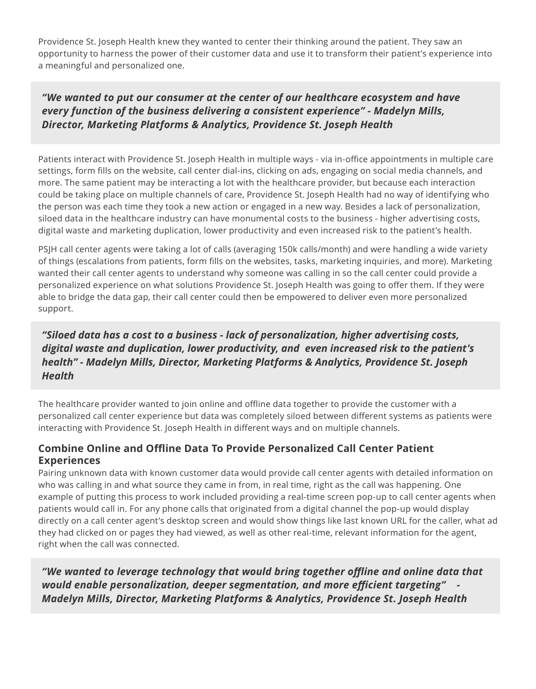Providence St. Joseph Health knew they wanted to center their thinking around the patient. They saw an opportunity to harness the power of their customer data and use it to transform their patient's experience into a meaningful and personalized one.

# *"We wanted to put our consumer at the center of our healthcare ecosystem and have every function of the business delivering a consistent experience" - Madelyn Mills, Director, Marketing Platforms & Analytics, Providence St. Joseph Health*

Patients interact with Providence St. Joseph Health in multiple ways - via in-office appointments in multiple care settings, form fills on the website, call center dial-ins, clicking on ads, engaging on social media channels, and more. The same patient may be interacting a lot with the healthcare provider, but because each interaction could be taking place on multiple channels of care, Providence St. Joseph Health had no way of identifying who the person was each time they took a new action or engaged in a new way. Besides a lack of personalization, siloed data in the healthcare industry can have monumental costs to the business - higher advertising costs, digital waste and marketing duplication, lower productivity and even increased risk to the patient's health.

PSJH call center agents were taking a lot of calls (averaging 150k calls/month) and were handling a wide variety of things (escalations from patients, form fills on the websites, tasks, marketing inquiries, and more). Marketing wanted their call center agents to understand why someone was calling in so the call center could provide a personalized experience on what solutions Providence St. Joseph Health was going to offer them. If they were able to bridge the data gap, their call center could then be empowered to deliver even more personalized support.

# *"Siloed data has a cost to a business - lack of personalization, higher advertising costs, digital waste and duplication, lower productivity, and even increased risk to the patient's health" - Madelyn Mills, Director, Marketing Platforms & Analytics, Providence St. Joseph Health*

The healthcare provider wanted to join online and offline data together to provide the customer with a personalized call center experience but data was completely siloed between different systems as patients were interacting with Providence St. Joseph Health in different ways and on multiple channels.

## **Combine Online and Offline Data To Provide Personalized Call Center Patient Experiences**

Pairing unknown data with known customer data would provide call center agents with detailed information on who was calling in and what source they came in from, in real time, right as the call was happening. One example of putting this process to work included providing a real-time screen pop-up to call center agents when patients would call in. For any phone calls that originated from a digital channel the pop-up would display directly on a call center agent's desktop screen and would show things like last known URL for the caller, what ad they had clicked on or pages they had viewed, as well as other real-time, relevant information for the agent, right when the call was connected.

*"We wanted to leverage technology that would bring together offline and online data that would enable personalization, deeper segmentation, and more efficient targeting" - Madelyn Mills, Director, Marketing Platforms & Analytics, Providence St. Joseph Health*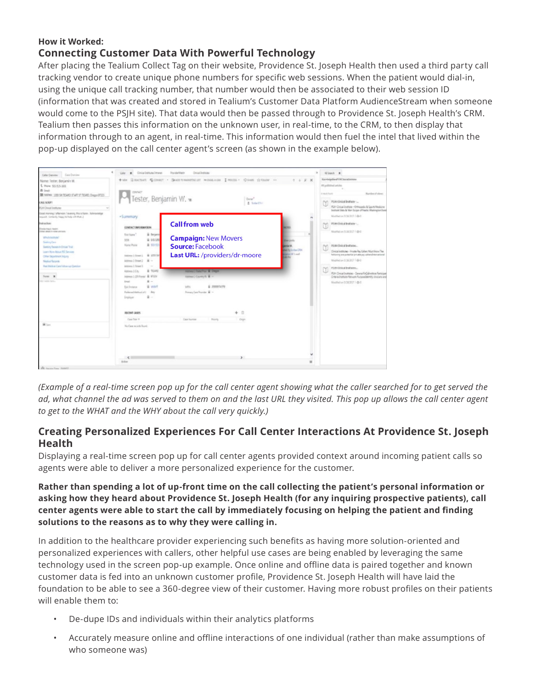## **How it Worked: Connecting Customer Data With Powerful Technology**

After placing the Tealium Collect Tag on their website, Providence St. Joseph Health then used a third party call tracking vendor to create unique phone numbers for specific web sessions. When the patient would dial-in, using the unique call tracking number, that number would then be associated to their web session ID (information that was created and stored in Tealium's Customer Data Platform AudienceStream when someone would come to the PSJH site). That data would then be passed through to Providence St. Joseph Health's CRM. Tealium then passes this information on the unknown user, in real-time, to the CRM, to then display that information through to an agent, in real-time. This information would then fuel the intel that lived within the pop-up displayed on the call center agent's screen (as shown in the example below).



*(Example of a real-time screen pop up for the call center agent showing what the caller searched for to get served the ad, what channel the ad was served to them on and the last URL they visited. This pop up allows the call center agent to get to the WHAT and the WHY about the call very quickly.)*

## **Creating Personalized Experiences For Call Center Interactions At Providence St. Joseph Health**

Displaying a real-time screen pop up for call center agents provided context around incoming patient calls so agents were able to deliver a more personalized experience for the customer.

**Rather than spending a lot of up-front time on the call collecting the patient's personal information or asking how they heard about Providence St. Joseph Health (for any inquiring prospective patients), call center agents were able to start the call by immediately focusing on helping the patient and finding solutions to the reasons as to why they were calling in.** 

In addition to the healthcare provider experiencing such benefits as having more solution-oriented and personalized experiences with callers, other helpful use cases are being enabled by leveraging the same technology used in the screen pop-up example. Once online and offline data is paired together and known customer data is fed into an unknown customer profile, Providence St. Joseph Health will have laid the foundation to be able to see a 360-degree view of their customer. Having more robust profiles on their patients will enable them to:

- De-dupe IDs and individuals within their analytics platforms
- Accurately measure online and offline interactions of one individual (rather than make assumptions of who someone was)